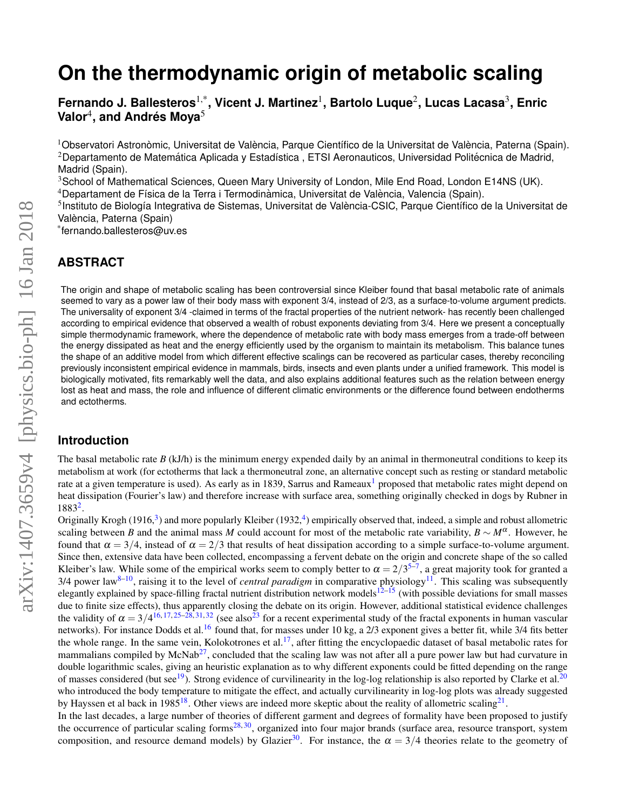# **On the thermodynamic origin of metabolic scaling**

**Fernando J. Ballesteros**1,\***, Vicent J. Martinez**<sup>1</sup> **, Bartolo Luque**<sup>2</sup> **, Lucas Lacasa**<sup>3</sup> **, Enric**  $\mathsf{V}$ alor $^4$ , and Andrés Moya $^5$ 

<sup>1</sup>Observatori Astronòmic, Universitat de València, Parque Científico de la Universitat de València, Paterna (Spain).  $2$ Departamento de Matemática Aplicada y Estadística, ETSI Aeronauticos, Universidad Politécnica de Madrid, Madrid (Spain).

<sup>3</sup>School of Mathematical Sciences, Queen Mary University of London, Mile End Road, London E14NS (UK). <sup>4</sup>Departament de Física de la Terra i Termodinàmica, Universitat de València, Valencia (Spain).

<sup>5</sup>Instituto de Biología Integrativa de Sistemas, Universitat de València-CSIC, Parque Científico de la Universitat de

València, Paterna (Spain)

\* fernando.ballesteros@uv.es

#### **ABSTRACT**

The origin and shape of metabolic scaling has been controversial since Kleiber found that basal metabolic rate of animals seemed to vary as a power law of their body mass with exponent 3/4, instead of 2/3, as a surface-to-volume argument predicts. The universality of exponent 3/4 -claimed in terms of the fractal properties of the nutrient network- has recently been challenged according to empirical evidence that observed a wealth of robust exponents deviating from 3/4. Here we present a conceptually simple thermodynamic framework, where the dependence of metabolic rate with body mass emerges from a trade-off between the energy dissipated as heat and the energy efficiently used by the organism to maintain its metabolism. This balance tunes the shape of an additive model from which different effective scalings can be recovered as particular cases, thereby reconciling previously inconsistent empirical evidence in mammals, birds, insects and even plants under a unified framework. This model is biologically motivated, fits remarkably well the data, and also explains additional features such as the relation between energy lost as heat and mass, the role and influence of different climatic environments or the difference found between endotherms and ectotherms.

#### **Introduction**

The basal metabolic rate  $B$  (kJ/h) is the minimum energy expended daily by an animal in thermoneutral conditions to keep its metabolism at work (for ectotherms that lack a thermoneutral zone, an alternative concept such as resting or standard metabolic rate at a given temperature is used). As early as in [1](#page-6-0)839, Sarrus and Rameaux<sup>1</sup> proposed that metabolic rates might depend on heat dissipation (Fourier's law) and therefore increase with surface area, something originally checked in dogs by Rubner in 1883[2](#page-6-1) .

Originally Krogh (1916,<sup>[3](#page-6-2)</sup>) and more popularly Kleiber (1932,<sup>[4](#page-6-3)</sup>) empirically observed that, indeed, a simple and robust allometric scaling between *B* and the animal mass *M* could account for most of the metabolic rate variability,  $B \sim M^{\alpha}$ . However, he found that  $\alpha = 3/4$ , instead of  $\alpha = 2/3$  that results of heat dissipation according to a simple surface-to-volume argument. Since then, extensive data have been collected, encompassing a fervent debate on the origin and concrete shape of the so called Kleiber's law. While some of the empirical works seem to comply better to  $\alpha = 2/3^{5-7}$  $\alpha = 2/3^{5-7}$  $\alpha = 2/3^{5-7}$ , a great majority took for granted a  $3/4$  power law<sup>[8](#page-6-6)[–10](#page-7-0)</sup>, raising it to the level of *central paradigm* in comparative physiology<sup>[11](#page-7-1)</sup>. This scaling was subsequently elegantly explained by space-filling fractal nutrient distribution network models $12-15$  $12-15$  (with possible deviations for small masses due to finite size effects), thus apparently closing the debate on its origin. However, additional statistical evidence challenges the validity of  $\alpha = 3/4^{16}$ , [17,](#page-7-5) [25](#page-7-6)[–28,](#page-7-7) [31,](#page-7-8) [32](#page-7-9) (see also<sup>[23](#page-7-10)</sup> for a recent experimental study of the fractal exponents in human vascular networks). For instance Dodds et al.<sup>[16](#page-7-4)</sup> found that, for masses under 10 kg, a 2/3 exponent gives a better fit, while 3/4 fits better the whole range. In the same vein, Kolokotrones et al.<sup>[17](#page-7-5)</sup>, after fitting the encyclopaedic dataset of basal metabolic rates for mammalians compiled by McNab<sup>[27](#page-7-11)</sup>, concluded that the scaling law was not after all a pure power law but had curvature in double logarithmic scales, giving an heuristic explanation as to why different exponents could be fitted depending on the range of masses considered (but see<sup>[19](#page-7-12)</sup>). Strong evidence of curvilinearity in the log-log relationship is also reported by Clarke et al.<sup>[20](#page-7-13)</sup> who introduced the body temperature to mitigate the effect, and actually curvilinearity in log-log plots was already suggested by Hayssen et al back in 1985<sup>[18](#page-7-14)</sup>. Other views are indeed more skeptic about the reality of allometric scaling<sup>[21](#page-7-15)</sup>.

In the last decades, a large number of theories of different garment and degrees of formality have been proposed to justify the occurrence of particular scaling forms<sup>[28,](#page-7-7) [30](#page-7-16)</sup>, organized into four major brands (surface area, resource transport, system composition, and resource demand models) by Glazier<sup>[30](#page-7-16)</sup>. For instance, the  $\alpha = 3/4$  theories relate to the geometry of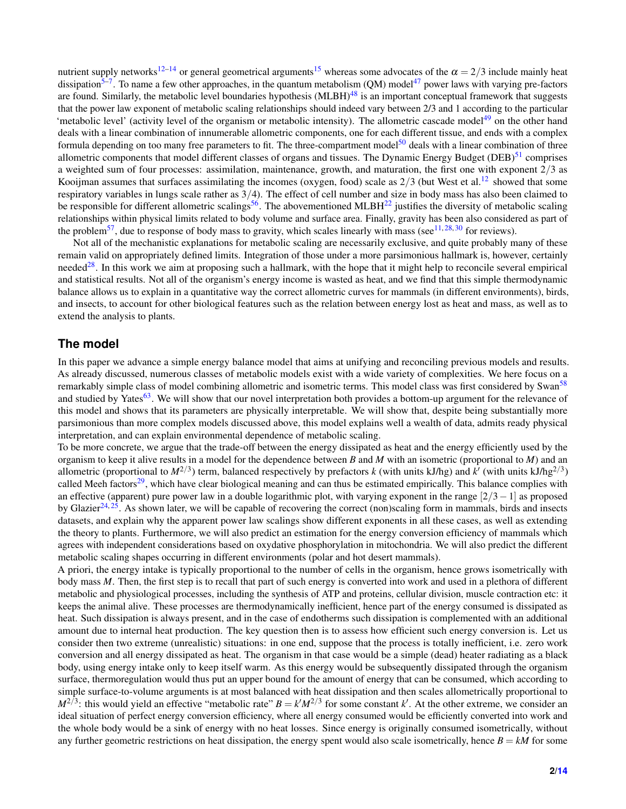nutrient supply networks<sup>[12–](#page-7-2)[14](#page-7-17)</sup> or general geometrical arguments<sup>[15](#page-7-3)</sup> whereas some advocates of the  $\alpha = 2/3$  include mainly heat dissipation<sup>[5](#page-6-4)[–7](#page-6-5)</sup>. To name a few other approaches, in the quantum metabolism (QM) model<sup>[47](#page-8-0)</sup> power laws with varying pre-factors are found. Similarly, the metabolic level boundaries hypothesis (MLBH)<sup>[48](#page-8-1)</sup> is an important conceptual framework that suggests that the power law exponent of metabolic scaling relationships should indeed vary between 2/3 and 1 according to the particular 'metabolic level' (activity level of the organism or metabolic intensity). The allometric cascade model<sup>[49](#page-8-2)</sup> on the other hand deals with a linear combination of innumerable allometric components, one for each different tissue, and ends with a complex formula depending on too many free parameters to fit. The three-compartment model<sup>[50](#page-8-3)</sup> deals with a linear combination of three allometric components that model different classes of organs and tissues. The Dynamic Energy Budget ( $DEB$ )<sup>[51](#page-8-4)</sup> comprises a weighted sum of four processes: assimilation, maintenance, growth, and maturation, the first one with exponent 2/3 as Kooijman assumes that surfaces assimilating the incomes (oxygen, food) scale as  $2/3$  (but West et al.<sup>[12](#page-7-2)</sup> showed that some respiratory variables in lungs scale rather as 3/4). The effect of cell number and size in body mass has also been claimed to be responsible for different allometric scalings<sup>[56](#page-8-5)</sup>. The abovementioned MLBH<sup>[22](#page-7-18)</sup> justifies the diversity of metabolic scaling relationships within physical limits related to body volume and surface area. Finally, gravity has been also considered as part of the problem<sup>[57](#page-8-6)</sup>, due to response of body mass to gravity, which scales linearly with mass (see<sup>[11,](#page-7-1)[28,](#page-7-7)[30](#page-7-16)</sup> for reviews).

Not all of the mechanistic explanations for metabolic scaling are necessarily exclusive, and quite probably many of these remain valid on appropriately defined limits. Integration of those under a more parsimonious hallmark is, however, certainly needed<sup>[28](#page-7-7)</sup>. In this work we aim at proposing such a hallmark, with the hope that it might help to reconcile several empirical and statistical results. Not all of the organism's energy income is wasted as heat, and we find that this simple thermodynamic balance allows us to explain in a quantitative way the correct allometric curves for mammals (in different environments), birds, and insects, to account for other biological features such as the relation between energy lost as heat and mass, as well as to extend the analysis to plants.

#### **The model**

In this paper we advance a simple energy balance model that aims at unifying and reconciling previous models and results. As already discussed, numerous classes of metabolic models exist with a wide variety of complexities. We here focus on a remarkably simple class of model combining allometric and isometric terms. This model class was first considered by Swan<sup>[58](#page-8-7)</sup> and studied by Yates<sup>[63](#page-8-8)</sup>. We will show that our novel interpretation both provides a bottom-up argument for the relevance of this model and shows that its parameters are physically interpretable. We will show that, despite being substantially more parsimonious than more complex models discussed above, this model explains well a wealth of data, admits ready physical interpretation, and can explain environmental dependence of metabolic scaling.

To be more concrete, we argue that the trade-off between the energy dissipated as heat and the energy efficiently used by the organism to keep it alive results in a model for the dependence between *B* and *M* with an isometric (proportional to *M*) and an allometric (proportional to  $M^{2/3}$ ) term, balanced respectively by prefactors *k* (with units kJ/hg) and *k'* (with units kJ/hg<sup>2/3</sup>) called Meeh factors<sup>[29](#page-7-19)</sup>, which have clear biological meaning and can thus be estimated empirically. This balance complies with an effective (apparent) pure power law in a double logarithmic plot, with varying exponent in the range  $\lceil 2/3-1 \rceil$  as proposed by Glazier<sup>[24,](#page-7-20) [25](#page-7-6)</sup>. As shown later, we will be capable of recovering the correct (non)scaling form in mammals, birds and insects datasets, and explain why the apparent power law scalings show different exponents in all these cases, as well as extending the theory to plants. Furthermore, we will also predict an estimation for the energy conversion efficiency of mammals which agrees with independent considerations based on oxydative phosphorylation in mitochondria. We will also predict the different metabolic scaling shapes occurring in different environments (polar and hot desert mammals).

A priori, the energy intake is typically proportional to the number of cells in the organism, hence grows isometrically with body mass *M*. Then, the first step is to recall that part of such energy is converted into work and used in a plethora of different metabolic and physiological processes, including the synthesis of ATP and proteins, cellular division, muscle contraction etc: it keeps the animal alive. These processes are thermodynamically inefficient, hence part of the energy consumed is dissipated as heat. Such dissipation is always present, and in the case of endotherms such dissipation is complemented with an additional amount due to internal heat production. The key question then is to assess how efficient such energy conversion is. Let us consider then two extreme (unrealistic) situations: in one end, suppose that the process is totally inefficient, i.e. zero work conversion and all energy dissipated as heat. The organism in that case would be a simple (dead) heater radiating as a black body, using energy intake only to keep itself warm. As this energy would be subsequently dissipated through the organism surface, thermoregulation would thus put an upper bound for the amount of energy that can be consumed, which according to simple surface-to-volume arguments is at most balanced with heat dissipation and then scales allometrically proportional to  $M^{2/3}$ : this would yield an effective "metabolic rate"  $B = k'M^{2/3}$  for some constant *k*'. At the other extreme, we consider an ideal situation of perfect energy conversion efficiency, where all energy consumed would be efficiently converted into work and the whole body would be a sink of energy with no heat losses. Since energy is originally consumed isometrically, without any further geometric restrictions on heat dissipation, the energy spent would also scale isometrically, hence  $B = kM$  for some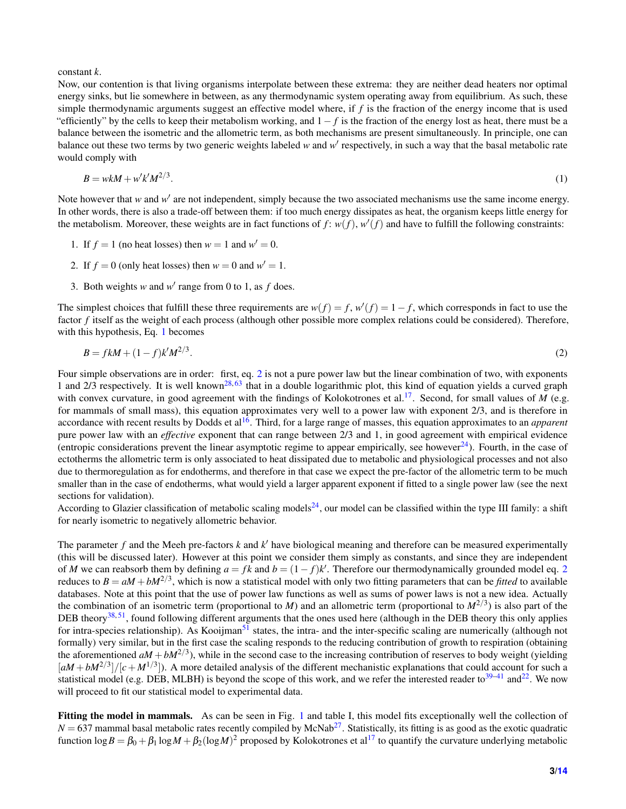constant *k*.

Now, our contention is that living organisms interpolate between these extrema: they are neither dead heaters nor optimal energy sinks, but lie somewhere in between, as any thermodynamic system operating away from equilibrium. As such, these simple thermodynamic arguments suggest an effective model where, if *f* is the fraction of the energy income that is used "efficiently" by the cells to keep their metabolism working, and  $1-f$  is the fraction of the energy lost as heat, there must be a balance between the isometric and the allometric term, as both mechanisms are present simultaneously. In principle, one can balance out these two terms by two generic weights labeled w and w' respectively, in such a way that the basal metabolic rate would comply with

<span id="page-2-0"></span>
$$
B = wkM + w'k'M^{2/3}.\tag{1}
$$

Note however that  $w$  and  $w'$  are not independent, simply because the two associated mechanisms use the same income energy. In other words, there is also a trade-off between them: if too much energy dissipates as heat, the organism keeps little energy for the metabolism. Moreover, these weights are in fact functions of  $f: w(f), w'(f)$  and have to fulfill the following constraints:

- 1. If  $f = 1$  (no heat losses) then  $w = 1$  and  $w' = 0$ .
- 2. If  $f = 0$  (only heat losses) then  $w = 0$  and  $w' = 1$ .
- 3. Both weights *w* and  $w'$  range from 0 to 1, as  $f$  does.

The simplest choices that fulfill these three requirements are  $w(f) = f$ ,  $w'(f) = 1 - f$ , which corresponds in fact to use the factor *f* itself as the weight of each process (although other possible more complex relations could be considered). Therefore, with this hypothesis, Eq. [1](#page-2-0) becomes

<span id="page-2-1"></span>
$$
B = f k M + (1 - f) k' M^{2/3}.
$$
\n(2)

Four simple observations are in order: first, eq. [2](#page-2-1) is not a pure power law but the linear combination of two, with exponents 1 and 2/3 respectively. It is well known<sup>[28,](#page-7-7) [63](#page-8-8)</sup> that in a double logarithmic plot, this kind of equation yields a curved graph with convex curvature, in good agreement with the findings of Kolokotrones et al.<sup>[17](#page-7-5)</sup>. Second, for small values of *M* (e.g. for mammals of small mass), this equation approximates very well to a power law with exponent 2/3, and is therefore in accordance with recent results by Dodds et al[16](#page-7-4). Third, for a large range of masses, this equation approximates to an *apparent* pure power law with an *effective* exponent that can range between 2/3 and 1, in good agreement with empirical evidence (entropic considerations prevent the linear asymptotic regime to appear empirically, see however $^{24}$  $^{24}$  $^{24}$ ). Fourth, in the case of ectotherms the allometric term is only associated to heat dissipated due to metabolic and physiological processes and not also due to thermoregulation as for endotherms, and therefore in that case we expect the pre-factor of the allometric term to be much smaller than in the case of endotherms, what would yield a larger apparent exponent if fitted to a single power law (see the next sections for validation).

According to Glazier classification of metabolic scaling models<sup>[24](#page-7-20)</sup>, our model can be classified within the type III family: a shift for nearly isometric to negatively allometric behavior.

The parameter  $f$  and the Meeh pre-factors  $k$  and  $k'$  have biological meaning and therefore can be measured experimentally (this will be discussed later). However at this point we consider them simply as constants, and since they are independent of *M* we can reabsorb them by defining  $a = fk$  and  $b = (1 - f)k'$ . Therefore our thermodynamically grounded model eq. [2](#page-2-1) reduces to  $B = aM + bM^{2/3}$ , which is now a statistical model with only two fitting parameters that can be *fitted* to available databases. Note at this point that the use of power law functions as well as sums of power laws is not a new idea. Actually the combination of an isometric term (proportional to *M*) and an allometric term (proportional to  $M^{2/3}$ ) is also part of the DEB theory<sup>[38,](#page-7-21) [51](#page-8-4)</sup>, found following different arguments that the ones used here (although in the DEB theory this only applies for intra-species relationship). As Kooijman<sup>[51](#page-8-4)</sup> states, the intra- and the inter-specific scaling are numerically (although not formally) very similar, but in the first case the scaling responds to the reducing contribution of growth to respiration (obtaining the aforementioned  $aM + bM^{2/3}$ ), while in the second case to the increasing contribution of reserves to body weight (yielding  $[aM + bM^{2/3}]/[c + M^{1/3}]$ ). A more detailed analysis of the different mechanistic explanations that could account for such a statistical model (e.g. DEB, MLBH) is beyond the scope of this work, and we refer the interested reader to $39-41$  $39-41$  and  $22$ . We now will proceed to fit our statistical model to experimental data.

Fitting the model in mammals. As can be seen in Fig. [1](#page-9-0) and table I, this model fits exceptionally well the collection of  $N = 637$  mammal basal metabolic rates recently compiled by McNab<sup>[27](#page-7-11)</sup>. Statistically, its fitting is as good as the exotic quadratic function log $B = \beta_0 + \beta_1 \log M + \beta_2 (\log M)^2$  proposed by Kolokotrones et al<sup>[17](#page-7-5)</sup> to quantify the curvature underlying metabolic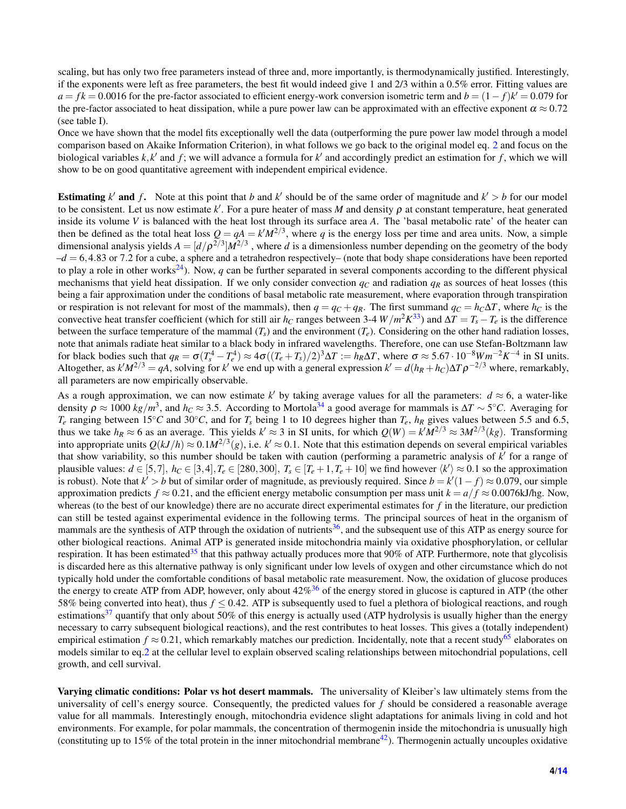scaling, but has only two free parameters instead of three and, more importantly, is thermodynamically justified. Interestingly, if the exponents were left as free parameters, the best fit would indeed give 1 and 2/3 within a 0.5% error. Fitting values are  $a = fk = 0.0016$  for the pre-factor associated to efficient energy-work conversion isometric term and  $b = (1 - f)k' = 0.079$  for the pre-factor associated to heat dissipation, while a pure power law can be approximated with an effective exponent  $\alpha \approx 0.72$ (see table I).

Once we have shown that the model fits exceptionally well the data (outperforming the pure power law model through a model comparison based on Akaike Information Criterion), in what follows we go back to the original model eq. [2](#page-2-1) and focus on the biological variables  $k$ ,  $k'$  and  $f$ ; we will advance a formula for  $k'$  and accordingly predict an estimation for  $f$ , which we will show to be on good quantitative agreement with independent empirical evidence.

**Estimating**  $k'$  and  $f$ . Note at this point that  $b$  and  $k'$  should be of the same order of magnitude and  $k' > b$  for our model to be consistent. Let us now estimate  $k'$ . For a pure heater of mass M and density  $\rho$  at constant temperature, heat generated inside its volume *V* is balanced with the heat lost through its surface area *A*. The 'basal metabolic rate' of the heater can then be defined as the total heat loss  $Q = qA = k'M^{2/3}$ , where q is the energy loss per time and area units. Now, a simple dimensional analysis yields  $A = [d/\rho^{2/3}]M^{2/3}$ , where *d* is a dimensionless number depending on the geometry of the body  $-d = 6,4.83$  or 7.2 for a cube, a sphere and a tetrahedron respectively– (note that body shape considerations have been reported to play a role in other works<sup>[24](#page-7-20)</sup>). Now, *q* can be further separated in several components according to the different physical mechanisms that yield heat dissipation. If we only consider convection  $q_c$  and radiation  $q_R$  as sources of heat losses (this being a fair approximation under the conditions of basal metabolic rate measurement, where evaporation through transpiration or respiration is not relevant for most of the mammals), then  $q = q_C + q_R$ . The first summand  $q_C = h_C \Delta T$ , where  $h_C$  is the convective heat transfer coefficient (which for still air *h<sub>C</sub>* ranges between 3-4  $W/m^2 K^{33}$  $W/m^2 K^{33}$  $W/m^2 K^{33}$ ) and  $\Delta T = T_s - T_e$  is the difference between the surface temperature of the mammal  $(T_s)$  and the environment  $(T_e)$ . Considering on the other hand radiation losses, note that animals radiate heat similar to a black body in infrared wavelengths. Therefore, one can use Stefan-Boltzmann law for black bodies such that  $q_R = \sigma (T_s^4 - T_e^4) \approx 4\sigma ((T_e + T_s)/2)^3 \Delta T := h_R \Delta T$ , where  $\sigma \approx 5.67 \cdot 10^{-8} W m^{-2} K^{-4}$  in SI units. Altogether, as  $k'M^{2/3} = qA$ , solving for  $k'$  we end up with a general expression  $k' = d(h_R + h_C)\Delta T\rho^{-2/3}$  where, remarkably, all parameters are now empirically observable.

As a rough approximation, we can now estimate  $k'$  by taking average values for all the parameters:  $d \approx 6$ , a water-like density  $\rho \approx 1000 \ kg/m^3$ , and  $h_C \approx 3.5$ . According to Mortola<sup>[34](#page-7-23)</sup> a good average for mammals is  $\Delta T \sim 5^{\circ}C$ . Averaging for  $T_e$  ranging between 15°*C* and 30°*C*, and for  $T_s$  being 1 to 10 degrees higher than  $T_e$ ,  $h_R$  gives values between 5.5 and 6.5, thus we take  $h_R \approx 6$  as an average. This yields  $k' \approx 3$  in SI units, for which  $Q(W) = k'M^{2/3} \approx 3M^{2/3}(kg)$ . Transforming into appropriate units  $Q(kJ/h) \approx 0.1 M^{2/3}(g)$ , i.e.  $k' \approx 0.1$ . Note that this estimation depends on several empirical variables that show variability, so this number should be taken with caution (performing a parametric analysis of  $k'$  for a range of plausible values:  $d \in [5,7]$ ,  $h_C \in [3,4]$ ,  $T_e \in [280,300]$ ,  $T_s \in [T_e+1, T_e+10]$  we find however  $\langle k' \rangle \approx 0.1$  so the approximation is robust). Note that  $k' > b$  but of similar order of magnitude, as previously required. Since  $b = k'(1-f) \approx 0.079$ , our simple approximation predicts  $f \approx 0.21$ , and the efficient energy metabolic consumption per mass unit  $k = a/f \approx 0.0076 \text{ kJ/kg}$ . Now, whereas (to the best of our knowledge) there are no accurate direct experimental estimates for *f* in the literature, our prediction can still be tested against experimental evidence in the following terms. The principal sources of heat in the organism of mammals are the synthesis of ATP through the oxidation of nutrients<sup>[36](#page-7-24)</sup>, and the subsequent use of this ATP as energy source for other biological reactions. Animal ATP is generated inside mitochondria mainly via oxidative phosphorylation, or cellular respiration. It has been estimated<sup>[35](#page-7-25)</sup> that this pathway actually produces more that 90% of ATP. Furthermore, note that glycolisis is discarded here as this alternative pathway is only significant under low levels of oxygen and other circumstance which do not typically hold under the comfortable conditions of basal metabolic rate measurement. Now, the oxidation of glucose produces the energy to create ATP from ADP, however, only about  $42\%^{36}$  $42\%^{36}$  $42\%^{36}$  of the energy stored in glucose is captured in ATP (the other 58% being converted into heat), thus *f* ≤ 0.42. ATP is subsequently used to fuel a plethora of biological reactions, and rough estimations $37$  quantify that only about 50% of this energy is actually used (ATP hydrolysis is usually higher than the energy necessary to carry subsequent biological reactions), and the rest contributes to heat losses. This gives a (totally independent) empirical estimation  $f \approx 0.21$ , which remarkably matches our prediction. Incidentally, note that a recent study<sup>[65](#page-8-11)</sup> elaborates on models similar to eq[.2](#page-2-1) at the cellular level to explain observed scaling relationships between mitochondrial populations, cell growth, and cell survival.

Varying climatic conditions: Polar vs hot desert mammals. The universality of Kleiber's law ultimately stems from the universality of cell's energy source. Consequently, the predicted values for *f* should be considered a reasonable average value for all mammals. Interestingly enough, mitochondria evidence slight adaptations for animals living in cold and hot environments. For example, for polar mammals, the concentration of thermogenin inside the mitochondria is unusually high (constituting up to 15% of the total protein in the inner mitochondrial membrane<sup>[42](#page-8-12)</sup>). Thermogenin actually uncouples oxidative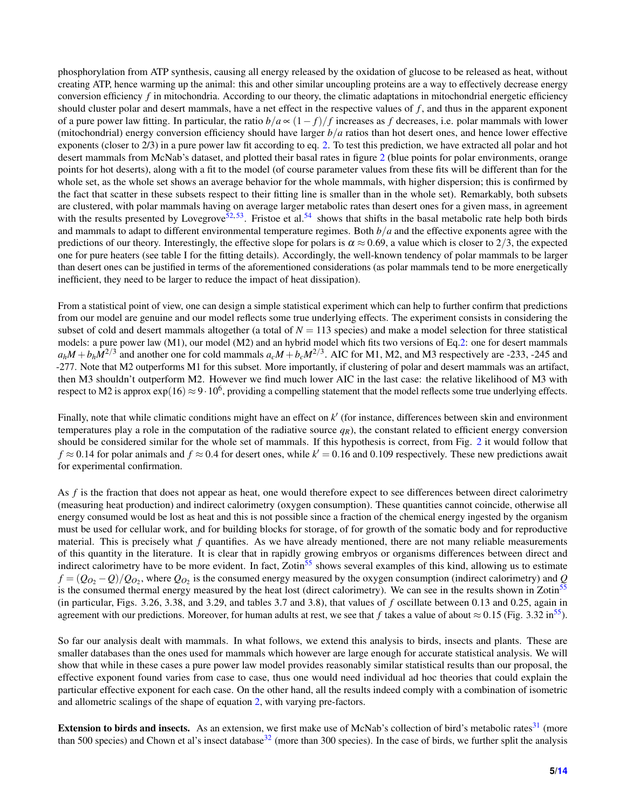phosphorylation from ATP synthesis, causing all energy released by the oxidation of glucose to be released as heat, without creating ATP, hence warming up the animal: this and other similar uncoupling proteins are a way to effectively decrease energy conversion efficiency f in mitochondria. According to our theory, the climatic adaptations in mitochondrial energetic efficiency should cluster polar and desert mammals, have a net effect in the respective values of *f* , and thus in the apparent exponent of a pure power law fitting. In particular, the ratio *b*/*a* ∝ (1− *f*)/ *f* increases as *f* decreases, i.e. polar mammals with lower (mitochondrial) energy conversion efficiency should have larger *b*/*a* ratios than hot desert ones, and hence lower effective exponents (closer to 2/3) in a pure power law fit according to eq. [2.](#page-2-1) To test this prediction, we have extracted all polar and hot desert mammals from McNab's dataset, and plotted their basal rates in figure [2](#page-10-0) (blue points for polar environments, orange points for hot deserts), along with a fit to the model (of course parameter values from these fits will be different than for the whole set, as the whole set shows an average behavior for the whole mammals, with higher dispersion; this is confirmed by the fact that scatter in these subsets respect to their fitting line is smaller than in the whole set). Remarkably, both subsets are clustered, with polar mammals having on average larger metabolic rates than desert ones for a given mass, in agreement with the results presented by Lovegrove<sup>[52,](#page-8-13) [53](#page-8-14)</sup>. Fristoe et al.<sup>[54](#page-8-15)</sup> shows that shifts in the basal metabolic rate help both birds and mammals to adapt to different environmental temperature regimes. Both *b*/*a* and the effective exponents agree with the predictions of our theory. Interestingly, the effective slope for polars is  $\alpha \approx 0.69$ , a value which is closer to 2/3, the expected one for pure heaters (see table I for the fitting details). Accordingly, the well-known tendency of polar mammals to be larger than desert ones can be justified in terms of the aforementioned considerations (as polar mammals tend to be more energetically inefficient, they need to be larger to reduce the impact of heat dissipation).

From a statistical point of view, one can design a simple statistical experiment which can help to further confirm that predictions from our model are genuine and our model reflects some true underlying effects. The experiment consists in considering the subset of cold and desert mammals altogether (a total of  $N = 113$  species) and make a model selection for three statistical models: a pure power law (M1), our model (M2) and an hybrid model which fits two versions of Eq[.2:](#page-2-1) one for desert mammals  $a_hM + b_hM^{2/3}$  and another one for cold mammals  $a_cM + b_cM^{2/3}$ . AIC for M1, M2, and M3 respectively are -233, -245 and -277. Note that M2 outperforms M1 for this subset. More importantly, if clustering of polar and desert mammals was an artifact, then M3 shouldn't outperform M2. However we find much lower AIC in the last case: the relative likelihood of M3 with respect to M2 is approx  $\exp(16) \approx 9 \cdot 10^6$ , providing a compelling statement that the model reflects some true underlying effects.

Finally, note that while climatic conditions might have an effect on  $k'$  (for instance, differences between skin and environment temperatures play a role in the computation of the radiative source  $q<sub>R</sub>$ ), the constant related to efficient energy conversion should be considered similar for the whole set of mammals. If this hypothesis is correct, from Fig. [2](#page-10-0) it would follow that  $f \approx 0.14$  for polar animals and  $f \approx 0.4$  for desert ones, while  $k' = 0.16$  and 0.109 respectively. These new predictions await for experimental confirmation.

As f is the fraction that does not appear as heat, one would therefore expect to see differences between direct calorimetry (measuring heat production) and indirect calorimetry (oxygen consumption). These quantities cannot coincide, otherwise all energy consumed would be lost as heat and this is not possible since a fraction of the chemical energy ingested by the organism must be used for cellular work, and for building blocks for storage, of for growth of the somatic body and for reproductive material. This is precisely what *f* quantifies. As we have already mentioned, there are not many reliable measurements of this quantity in the literature. It is clear that in rapidly growing embryos or organisms differences between direct and indirect calorimetry have to be more evident. In fact, Zotin<sup>[55](#page-8-16)</sup> shows several examples of this kind, allowing us to estimate  $f = (Q_{O_2} - Q)/Q_{O_2}$ , where  $Q_{O_2}$  is the consumed energy measured by the oxygen consumption (indirect calorimetry) and  $Q$ is the consumed thermal energy measured by the heat lost (direct calorimetry). We can see in the results shown in Zotin<sup>[55](#page-8-16)</sup> (in particular, Figs. 3.26, 3.38, and 3.29, and tables 3.7 and 3.8), that values of *f* oscillate between 0.13 and 0.25, again in agreement with our predictions. Moreover, for human adults at rest, we see that *f* takes a value of about  $\approx 0.15$  (Fig. 3.32 in<sup>[55](#page-8-16)</sup>).

So far our analysis dealt with mammals. In what follows, we extend this analysis to birds, insects and plants. These are smaller databases than the ones used for mammals which however are large enough for accurate statistical analysis. We will show that while in these cases a pure power law model provides reasonably similar statistical results than our proposal, the effective exponent found varies from case to case, thus one would need individual ad hoc theories that could explain the particular effective exponent for each case. On the other hand, all the results indeed comply with a combination of isometric and allometric scalings of the shape of equation [2,](#page-2-1) with varying pre-factors.

**Extension to birds and insects.** As an extension, we first make use of McNab's collection of bird's metabolic rates $31 \text{ (more)}$  $31 \text{ (more)}$ than 500 species) and Chown et al's insect database<sup>[32](#page-7-9)</sup> (more than 300 species). In the case of birds, we further split the analysis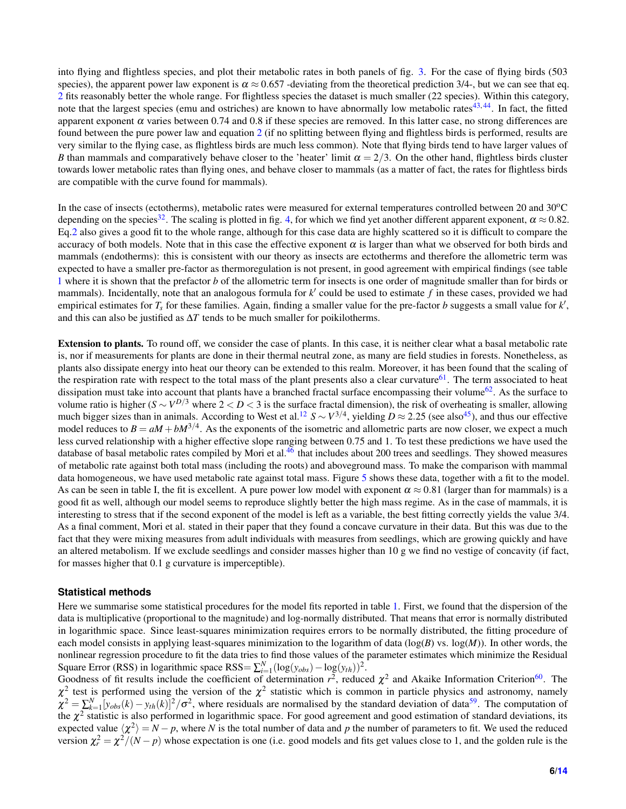into flying and flightless species, and plot their metabolic rates in both panels of fig. [3.](#page-10-1) For the case of flying birds (503 species), the apparent power law exponent is  $\alpha \approx 0.657$  -deviating from the theoretical prediction 3/4-, but we can see that eq. [2](#page-2-1) fits reasonably better the whole range. For flightless species the dataset is much smaller (22 species). Within this category, note that the largest species (emu and ostriches) are known to have abnormally low metabolic rates $43,44$  $43,44$ . In fact, the fitted apparent exponent  $\alpha$  varies between 0.74 and 0.8 if these species are removed. In this latter case, no strong differences are found between the pure power law and equation [2](#page-2-1) (if no splitting between flying and flightless birds is performed, results are very similar to the flying case, as flightless birds are much less common). Note that flying birds tend to have larger values of *B* than mammals and comparatively behave closer to the 'heater' limit  $\alpha = 2/3$ . On the other hand, flightless birds cluster towards lower metabolic rates than flying ones, and behave closer to mammals (as a matter of fact, the rates for flightless birds are compatible with the curve found for mammals).

In the case of insects (ectotherms), metabolic rates were measured for external temperatures controlled between 20 and  $30^{\circ}$ C depending on the species<sup>[32](#page-7-9)</sup>. The scaling is plotted in fig. [4,](#page-12-0) for which we find yet another different apparent exponent,  $\alpha \approx 0.82$ . Eq[.2](#page-2-1) also gives a good fit to the whole range, although for this case data are highly scattered so it is difficult to compare the accuracy of both models. Note that in this case the effective exponent  $\alpha$  is larger than what we observed for both birds and mammals (endotherms): this is consistent with our theory as insects are ectotherms and therefore the allometric term was expected to have a smaller pre-factor as thermoregulation is not present, in good agreement with empirical findings (see table [1](#page-11-0) where it is shown that the prefactor *b* of the allometric term for insects is one order of magnitude smaller than for birds or mammals). Incidentally, note that an analogous formula for  $k'$  could be used to estimate  $f$  in these cases, provided we had empirical estimates for *T<sub>s</sub>* for these families. Again, finding a smaller value for the pre-factor *b* suggests a small value for *k'*, and this can also be justified as  $\Delta T$  tends to be much smaller for poikilotherms.

Extension to plants. To round off, we consider the case of plants. In this case, it is neither clear what a basal metabolic rate is, nor if measurements for plants are done in their thermal neutral zone, as many are field studies in forests. Nonetheless, as plants also dissipate energy into heat our theory can be extended to this realm. Moreover, it has been found that the scaling of the respiration rate with respect to the total mass of the plant presents also a clear curvature $61$ . The term associated to heat dissipation must take into account that plants have a branched fractal surface encompassing their volume<sup>[62](#page-8-20)</sup>. As the surface to volume ratio is higher ( $S \sim V^{D/3}$  where  $2 < D < 3$  is the surface fractal dimension), the risk of overheating is smaller, allowing much bigger sizes than in animals. According to West et al.<sup>[12](#page-7-2)</sup>  $S \sim V^{3/4}$ , yielding  $D \approx 2.25$  (see also<sup>[45](#page-8-21)</sup>), and thus our effective model reduces to  $B = aM + bM^{3/4}$ . As the exponents of the isometric and allometric parts are now closer, we expect a much less curved relationship with a higher effective slope ranging between 0.75 and 1. To test these predictions we have used the database of basal metabolic rates compiled by Mori et al.<sup>[46](#page-8-22)</sup> that includes about 200 trees and seedlings. They showed measures of metabolic rate against both total mass (including the roots) and aboveground mass. To make the comparison with mammal data homogeneous, we have used metabolic rate against total mass. Figure [5](#page-13-1) shows these data, together with a fit to the model. As can be seen in table I, the fit is excellent. A pure power low model with exponent  $\alpha \approx 0.81$  (larger than for mammals) is a good fit as well, although our model seems to reproduce slightly better the high mass regime. As in the case of mammals, it is interesting to stress that if the second exponent of the model is left as a variable, the best fitting correctly yields the value 3/4. As a final comment, Mori et al. stated in their paper that they found a concave curvature in their data. But this was due to the fact that they were mixing measures from adult individuals with measures from seedlings, which are growing quickly and have an altered metabolism. If we exclude seedlings and consider masses higher than 10 g we find no vestige of concavity (if fact, for masses higher that 0.1 g curvature is imperceptible).

#### **Statistical methods**

Here we summarise some statistical procedures for the model fits reported in table [1.](#page-11-0) First, we found that the dispersion of the data is multiplicative (proportional to the magnitude) and log-normally distributed. That means that error is normally distributed in logarithmic space. Since least-squares minimization requires errors to be normally distributed, the fitting procedure of each model consists in applying least-squares minimization to the logarithm of data (log(*B*) vs. log(*M*)). In other words, the nonlinear regression procedure to fit the data tries to find those values of the parameter estimates which minimize the Residual Square Error (RSS) in logarithmic space RSS=  $\sum_{i=1}^{N} (\log(y_{obs}) - \log(y_{th}))^2$ .

Goodness of fit results include the coefficient of determination  $r^2$ , reduced  $\chi^2$  and Akaike Information Criterion<sup>[60](#page-8-23)</sup>. The  $\chi^2$  test is performed using the version of the  $\chi^2$  statistic which is common in particle physics and astronomy, namely  $\chi^2 = \sum_{k=1}^{N} [y_{obs}(k) - y_{th}(k)]^2 / \sigma^2$ , where residuals are normalised by the standard deviation of data<sup>[59](#page-8-24)</sup>. The computation of the  $\chi^2$  statistic is also performed in logarithmic space. For good agreement and good estimation of standard deviations, its expected value  $\langle \chi^2\rangle= N-p,$  where *N* is the total number of data and *p* the number of parameters to fit. We used the reduced version  $\chi^2 = \chi^2/(N-p)$  whose expectation is one (i.e. good models and fits get values close to 1, and the golden rule is the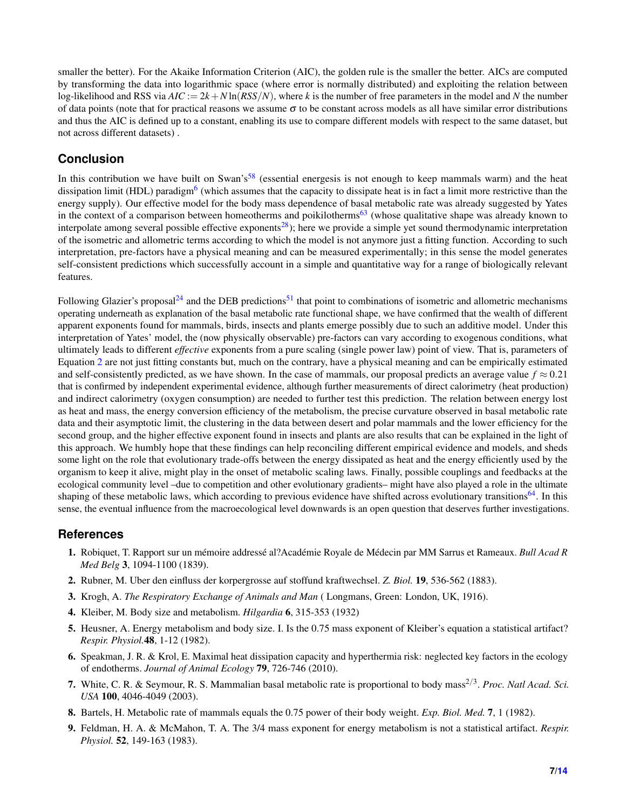smaller the better). For the Akaike Information Criterion (AIC), the golden rule is the smaller the better. AICs are computed by transforming the data into logarithmic space (where error is normally distributed) and exploiting the relation between log-likelihood and RSS via  $AIC := 2k + N \ln(RSS/N)$ , where *k* is the number of free parameters in the model and *N* the number of data points (note that for practical reasons we assume  $\sigma$  to be constant across models as all have similar error distributions and thus the AIC is defined up to a constant, enabling its use to compare different models with respect to the same dataset, but not across different datasets) .

### **Conclusion**

In this contribution we have built on Swan's<sup>[58](#page-8-7)</sup> (essential energesis is not enough to keep mammals warm) and the heat dissipation limit (HDL) paradigm<sup>[6](#page-6-7)</sup> (which assumes that the capacity to dissipate heat is in fact a limit more restrictive than the energy supply). Our effective model for the body mass dependence of basal metabolic rate was already suggested by Yates in the context of a comparison between homeotherms and poikilotherms<sup>[63](#page-8-8)</sup> (whose qualitative shape was already known to interpolate among several possible effective exponents<sup>[28](#page-7-7)</sup>); here we provide a simple yet sound thermodynamic interpretation of the isometric and allometric terms according to which the model is not anymore just a fitting function. According to such interpretation, pre-factors have a physical meaning and can be measured experimentally; in this sense the model generates self-consistent predictions which successfully account in a simple and quantitative way for a range of biologically relevant features.

Following Glazier's proposal<sup>[24](#page-7-20)</sup> and the DEB predictions<sup>[51](#page-8-4)</sup> that point to combinations of isometric and allometric mechanisms operating underneath as explanation of the basal metabolic rate functional shape, we have confirmed that the wealth of different apparent exponents found for mammals, birds, insects and plants emerge possibly due to such an additive model. Under this interpretation of Yates' model, the (now physically observable) pre-factors can vary according to exogenous conditions, what ultimately leads to different *effective* exponents from a pure scaling (single power law) point of view. That is, parameters of Equation [2](#page-2-1) are not just fitting constants but, much on the contrary, have a physical meaning and can be empirically estimated and self-consistently predicted, as we have shown. In the case of mammals, our proposal predicts an average value  $f \approx 0.21$ that is confirmed by independent experimental evidence, although further measurements of direct calorimetry (heat production) and indirect calorimetry (oxygen consumption) are needed to further test this prediction. The relation between energy lost as heat and mass, the energy conversion efficiency of the metabolism, the precise curvature observed in basal metabolic rate data and their asymptotic limit, the clustering in the data between desert and polar mammals and the lower efficiency for the second group, and the higher effective exponent found in insects and plants are also results that can be explained in the light of this approach. We humbly hope that these findings can help reconciling different empirical evidence and models, and sheds some light on the role that evolutionary trade-offs between the energy dissipated as heat and the energy efficiently used by the organism to keep it alive, might play in the onset of metabolic scaling laws. Finally, possible couplings and feedbacks at the ecological community level –due to competition and other evolutionary gradients– might have also played a role in the ultimate shaping of these metabolic laws, which according to previous evidence have shifted across evolutionary transitions<sup>[64](#page-8-25)</sup>. In this sense, the eventual influence from the macroecological level downwards is an open question that deserves further investigations.

#### **References**

- <span id="page-6-0"></span>1. Robiquet, T. Rapport sur un mémoire addressé al?Académie Royale de Médecin par MM Sarrus et Rameaux. Bull Acad R *Med Belg* 3, 1094-1100 (1839).
- <span id="page-6-1"></span>2. Rubner, M. Uber den einfluss der korpergrosse auf stoffund kraftwechsel. *Z. Biol.* 19, 536-562 (1883).
- <span id="page-6-2"></span>3. Krogh, A. *The Respiratory Exchange of Animals and Man* ( Longmans, Green: London, UK, 1916).
- <span id="page-6-3"></span>4. Kleiber, M. Body size and metabolism. *Hilgardia* 6, 315-353 (1932)
- <span id="page-6-4"></span>5. Heusner, A. Energy metabolism and body size. I. Is the 0.75 mass exponent of Kleiber's equation a statistical artifact? *Respir. Physiol.*48, 1-12 (1982).
- <span id="page-6-7"></span>6. Speakman, J. R. & Krol, E. Maximal heat dissipation capacity and hyperthermia risk: neglected key factors in the ecology of endotherms. *Journal of Animal Ecology* 79, 726-746 (2010).
- <span id="page-6-5"></span>7. White, C. R. & Seymour, R. S. Mammalian basal metabolic rate is proportional to body mass<sup>2/3</sup>. *Proc. Natl Acad. Sci. USA* 100, 4046-4049 (2003).
- <span id="page-6-6"></span>8. Bartels, H. Metabolic rate of mammals equals the 0.75 power of their body weight. *Exp. Biol. Med.* 7, 1 (1982).
- 9. Feldman, H. A. & McMahon, T. A. The 3/4 mass exponent for energy metabolism is not a statistical artifact. *Respir. Physiol.* 52, 149-163 (1983).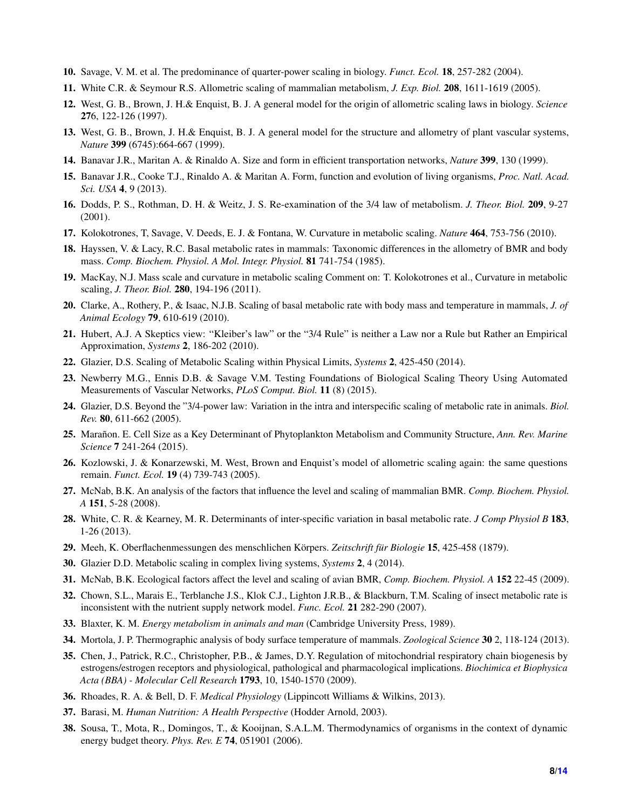- <span id="page-7-0"></span>10. Savage, V. M. et al. The predominance of quarter-power scaling in biology. *Funct. Ecol.* 18, 257-282 (2004).
- <span id="page-7-1"></span>11. White C.R. & Seymour R.S. Allometric scaling of mammalian metabolism, *J. Exp. Biol.* 208, 1611-1619 (2005).
- <span id="page-7-2"></span>12. West, G. B., Brown, J. H.& Enquist, B. J. A general model for the origin of allometric scaling laws in biology. *Science* 276, 122-126 (1997).
- 13. West, G. B., Brown, J. H.& Enquist, B. J. A general model for the structure and allometry of plant vascular systems, *Nature* 399 (6745):664-667 (1999).
- <span id="page-7-17"></span>14. Banavar J.R., Maritan A. & Rinaldo A. Size and form in efficient transportation networks, *Nature* 399, 130 (1999).
- <span id="page-7-3"></span>15. Banavar J.R., Cooke T.J., Rinaldo A. & Maritan A. Form, function and evolution of living organisms, *Proc. Natl. Acad. Sci. USA* 4, 9 (2013).
- <span id="page-7-4"></span>16. Dodds, P. S., Rothman, D. H. & Weitz, J. S. Re-examination of the 3/4 law of metabolism. *J. Theor. Biol.* 209, 9-27 (2001).
- <span id="page-7-5"></span>17. Kolokotrones, T, Savage, V. Deeds, E. J. & Fontana, W. Curvature in metabolic scaling. *Nature* 464, 753-756 (2010).
- <span id="page-7-14"></span>18. Hayssen, V. & Lacy, R.C. Basal metabolic rates in mammals: Taxonomic differences in the allometry of BMR and body mass. *Comp. Biochem. Physiol. A Mol. Integr. Physiol.* 81 741-754 (1985).
- <span id="page-7-12"></span>19. MacKay, N.J. Mass scale and curvature in metabolic scaling Comment on: T. Kolokotrones et al., Curvature in metabolic scaling, *J. Theor. Biol.* 280, 194-196 (2011).
- <span id="page-7-13"></span>20. Clarke, A., Rothery, P., & Isaac, N.J.B. Scaling of basal metabolic rate with body mass and temperature in mammals, *J. of Animal Ecology* 79, 610-619 (2010).
- <span id="page-7-15"></span>21. Hubert, A.J. A Skeptics view: "Kleiber's law" or the "3/4 Rule" is neither a Law nor a Rule but Rather an Empirical Approximation, *Systems* 2, 186-202 (2010).
- <span id="page-7-18"></span>22. Glazier, D.S. Scaling of Metabolic Scaling within Physical Limits, *Systems* 2, 425-450 (2014).
- <span id="page-7-10"></span>23. Newberry M.G., Ennis D.B. & Savage V.M. Testing Foundations of Biological Scaling Theory Using Automated Measurements of Vascular Networks, *PLoS Comput. Biol.* 11 (8) (2015).
- <span id="page-7-20"></span>24. Glazier, D.S. Beyond the "3/4-power law: Variation in the intra and interspecific scaling of metabolic rate in animals. *Biol. Rev.* 80, 611-662 (2005).
- <span id="page-7-6"></span>25. Marañon. E. Cell Size as a Key Determinant of Phytoplankton Metabolism and Community Structure, Ann. Rev. Marine *Science* 7 241-264 (2015).
- 26. Kozlowski, J. & Konarzewski, M. West, Brown and Enquist's model of allometric scaling again: the same questions remain. *Funct. Ecol.* 19 (4) 739-743 (2005).
- <span id="page-7-11"></span>27. McNab, B.K. An analysis of the factors that influence the level and scaling of mammalian BMR. *Comp. Biochem. Physiol. A* 151, 5-28 (2008).
- <span id="page-7-7"></span>28. White, C. R. & Kearney, M. R. Determinants of inter-specific variation in basal metabolic rate. *J Comp Physiol B* 183, 1-26 (2013).
- <span id="page-7-19"></span>29. Meeh, K. Oberflachenmessungen des menschlichen Körpers. Zeitschrift für Biologie 15, 425-458 (1879).
- <span id="page-7-16"></span>30. Glazier D.D. Metabolic scaling in complex living systems, *Systems* 2, 4 (2014).
- <span id="page-7-8"></span>31. McNab, B.K. Ecological factors affect the level and scaling of avian BMR, *Comp. Biochem. Physiol. A* 152 22-45 (2009).
- <span id="page-7-9"></span>32. Chown, S.L., Marais E., Terblanche J.S., Klok C.J., Lighton J.R.B., & Blackburn, T.M. Scaling of insect metabolic rate is inconsistent with the nutrient supply network model. *Func. Ecol.* 21 282-290 (2007).
- <span id="page-7-22"></span>33. Blaxter, K. M. *Energy metabolism in animals and man* (Cambridge University Press, 1989).
- <span id="page-7-23"></span>34. Mortola, J. P. Thermographic analysis of body surface temperature of mammals. *Zoological Science* 30 2, 118-124 (2013).
- <span id="page-7-25"></span>35. Chen, J., Patrick, R.C., Christopher, P.B., & James, D.Y. Regulation of mitochondrial respiratory chain biogenesis by estrogens/estrogen receptors and physiological, pathological and pharmacological implications. *Biochimica et Biophysica Acta (BBA) - Molecular Cell Research* 1793, 10, 1540-1570 (2009).
- <span id="page-7-24"></span>36. Rhoades, R. A. & Bell, D. F. *Medical Physiology* (Lippincott Williams & Wilkins, 2013).
- <span id="page-7-26"></span>37. Barasi, M. *Human Nutrition: A Health Perspective* (Hodder Arnold, 2003).
- <span id="page-7-21"></span>38. Sousa, T., Mota, R., Domingos, T., & Kooijnan, S.A.L.M. Thermodynamics of organisms in the context of dynamic energy budget theory. *Phys. Rev. E* 74, 051901 (2006).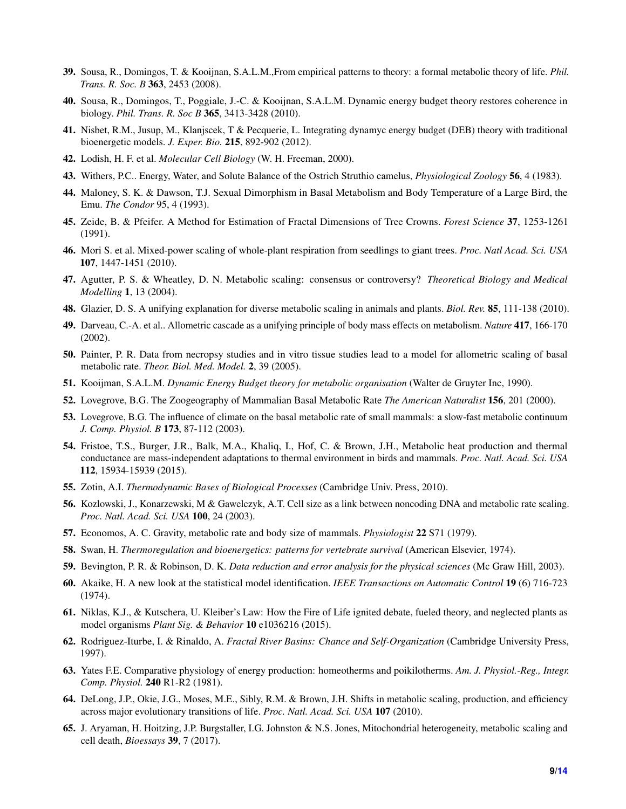- <span id="page-8-9"></span>39. Sousa, R., Domingos, T. & Kooijnan, S.A.L.M.,From empirical patterns to theory: a formal metabolic theory of life. *Phil. Trans. R. Soc. B* 363, 2453 (2008).
- 40. Sousa, R., Domingos, T., Poggiale, J.-C. & Kooijnan, S.A.L.M. Dynamic energy budget theory restores coherence in biology. *Phil. Trans. R. Soc B* 365, 3413-3428 (2010).
- <span id="page-8-10"></span>41. Nisbet, R.M., Jusup, M., Klanjscek, T & Pecquerie, L. Integrating dynamyc energy budget (DEB) theory with traditional bioenergetic models. *J. Exper. Bio.* 215, 892-902 (2012).
- <span id="page-8-12"></span>42. Lodish, H. F. et al. *Molecular Cell Biology* (W. H. Freeman, 2000).
- <span id="page-8-17"></span>43. Withers, P.C.. Energy, Water, and Solute Balance of the Ostrich Struthio camelus, *Physiological Zoology* 56, 4 (1983).
- <span id="page-8-18"></span>44. Maloney, S. K. & Dawson, T.J. Sexual Dimorphism in Basal Metabolism and Body Temperature of a Large Bird, the Emu. *The Condor* 95, 4 (1993).
- <span id="page-8-21"></span>45. Zeide, B. & Pfeifer. A Method for Estimation of Fractal Dimensions of Tree Crowns. *Forest Science* 37, 1253-1261 (1991).
- <span id="page-8-22"></span>46. Mori S. et al. Mixed-power scaling of whole-plant respiration from seedlings to giant trees. *Proc. Natl Acad. Sci. USA* 107, 1447-1451 (2010).
- <span id="page-8-0"></span>47. Agutter, P. S. & Wheatley, D. N. Metabolic scaling: consensus or controversy? *Theoretical Biology and Medical Modelling* 1, 13 (2004).
- <span id="page-8-1"></span>48. Glazier, D. S. A unifying explanation for diverse metabolic scaling in animals and plants. *Biol. Rev.* 85, 111-138 (2010).
- <span id="page-8-2"></span>49. Darveau, C.-A. et al.. Allometric cascade as a unifying principle of body mass effects on metabolism. *Nature* 417, 166-170 (2002).
- <span id="page-8-3"></span>50. Painter, P. R. Data from necropsy studies and in vitro tissue studies lead to a model for allometric scaling of basal metabolic rate. *Theor. Biol. Med. Model.* 2, 39 (2005).
- <span id="page-8-4"></span>51. Kooijman, S.A.L.M. *Dynamic Energy Budget theory for metabolic organisation* (Walter de Gruyter Inc, 1990).
- <span id="page-8-13"></span>52. Lovegrove, B.G. The Zoogeography of Mammalian Basal Metabolic Rate *The American Naturalist* 156, 201 (2000).
- <span id="page-8-14"></span>53. Lovegrove, B.G. The influence of climate on the basal metabolic rate of small mammals: a slow-fast metabolic continuum *J. Comp. Physiol. B* 173, 87-112 (2003).
- <span id="page-8-15"></span>54. Fristoe, T.S., Burger, J.R., Balk, M.A., Khaliq, I., Hof, C. & Brown, J.H., Metabolic heat production and thermal conductance are mass-independent adaptations to thermal environment in birds and mammals. *Proc. Natl. Acad. Sci. USA* 112, 15934-15939 (2015).
- <span id="page-8-16"></span>55. Zotin, A.I. *Thermodynamic Bases of Biological Processes* (Cambridge Univ. Press, 2010).
- <span id="page-8-5"></span>56. Kozlowski, J., Konarzewski, M & Gawelczyk, A.T. Cell size as a link between noncoding DNA and metabolic rate scaling. *Proc. Natl. Acad. Sci. USA* 100, 24 (2003).
- <span id="page-8-6"></span>57. Economos, A. C. Gravity, metabolic rate and body size of mammals. *Physiologist* 22 S71 (1979).
- <span id="page-8-7"></span>58. Swan, H. *Thermoregulation and bioenergetics: patterns for vertebrate survival* (American Elsevier, 1974).
- <span id="page-8-24"></span>59. Bevington, P. R. & Robinson, D. K. *Data reduction and error analysis for the physical sciences* (Mc Graw Hill, 2003).
- <span id="page-8-23"></span>60. Akaike, H. A new look at the statistical model identification. *IEEE Transactions on Automatic Control* 19 (6) 716-723 (1974).
- <span id="page-8-19"></span>61. Niklas, K.J., & Kutschera, U. Kleiber's Law: How the Fire of Life ignited debate, fueled theory, and neglected plants as model organisms *Plant Sig. & Behavior* 10 e1036216 (2015).
- <span id="page-8-20"></span>62. Rodriguez-Iturbe, I. & Rinaldo, A. *Fractal River Basins: Chance and Self-Organization* (Cambridge University Press, 1997).
- <span id="page-8-8"></span>63. Yates F.E. Comparative physiology of energy production: homeotherms and poikilotherms. *Am. J. Physiol.-Reg., Integr. Comp. Physiol.* 240 R1-R2 (1981).
- <span id="page-8-25"></span>64. DeLong, J.P., Okie, J.G., Moses, M.E., Sibly, R.M. & Brown, J.H. Shifts in metabolic scaling, production, and efficiency across major evolutionary transitions of life. *Proc. Natl. Acad. Sci. USA* 107 (2010).
- <span id="page-8-11"></span>65. J. Aryaman, H. Hoitzing, J.P. Burgstaller, I.G. Johnston & N.S. Jones, Mitochondrial heterogeneity, metabolic scaling and cell death, *Bioessays* 39, 7 (2017).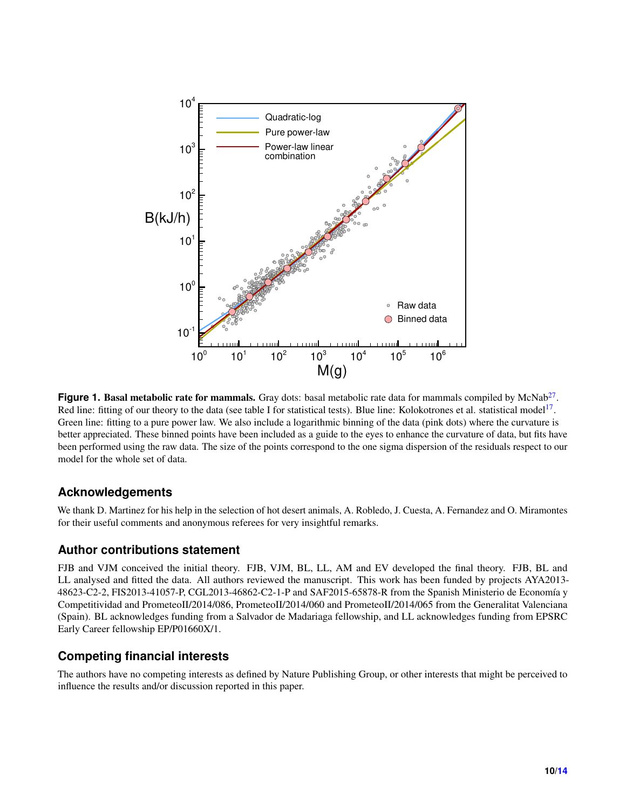<span id="page-9-0"></span>

Figure 1. Basal metabolic rate for mammals. Gray dots: basal metabolic rate data for mammals compiled by McNab<sup>[27](#page-7-11)</sup>. Red line: fitting of our theory to the data (see table I for statistical tests). Blue line: Kolokotrones et al. statistical model<sup>[17](#page-7-5)</sup>. Green line: fitting to a pure power law. We also include a logarithmic binning of the data (pink dots) where the curvature is better appreciated. These binned points have been included as a guide to the eyes to enhance the curvature of data, but fits have been performed using the raw data. The size of the points correspond to the one sigma dispersion of the residuals respect to our model for the whole set of data.

## **Acknowledgements**

We thank D. Martinez for his help in the selection of hot desert animals, A. Robledo, J. Cuesta, A. Fernandez and O. Miramontes for their useful comments and anonymous referees for very insightful remarks.

#### **Author contributions statement**

FJB and VJM conceived the initial theory. FJB, VJM, BL, LL, AM and EV developed the final theory. FJB, BL and LL analysed and fitted the data. All authors reviewed the manuscript. This work has been funded by projects AYA2013- 48623-C2-2, FIS2013-41057-P, CGL2013-46862-C2-1-P and SAF2015-65878-R from the Spanish Ministerio de Economía y Competitividad and PrometeoII/2014/086, PrometeoII/2014/060 and PrometeoII/2014/065 from the Generalitat Valenciana (Spain). BL acknowledges funding from a Salvador de Madariaga fellowship, and LL acknowledges funding from EPSRC Early Career fellowship EP/P01660X/1.

# **Competing financial interests**

The authors have no competing interests as defined by Nature Publishing Group, or other interests that might be perceived to influence the results and/or discussion reported in this paper.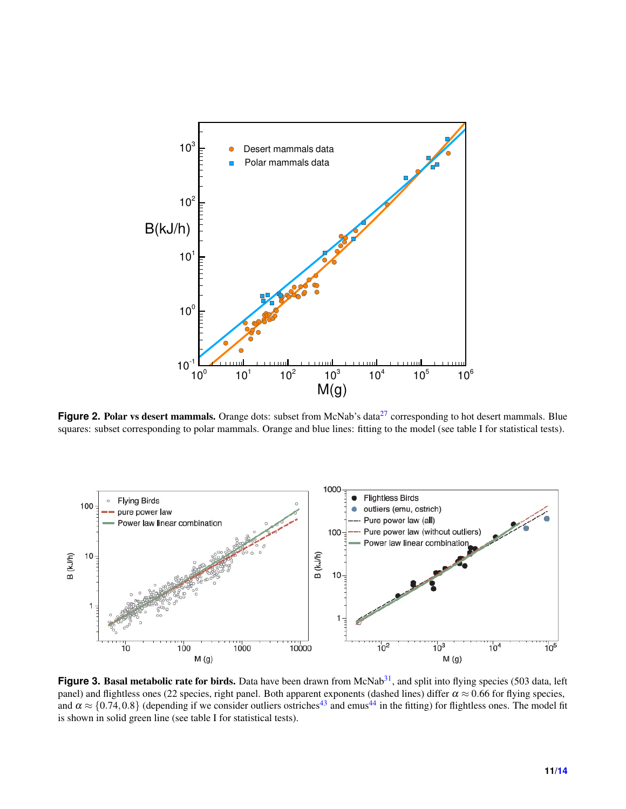<span id="page-10-0"></span>

Figure 2. Polar vs desert mammals. Orange dots: subset from McNab's data<sup>[27](#page-7-11)</sup> corresponding to hot desert mammals. Blue squares: subset corresponding to polar mammals. Orange and blue lines: fitting to the model (see table I for statistical tests).

<span id="page-10-1"></span>

**Figure 3. Basal metabolic rate for birds.** Data have been drawn from McNab<sup>[31](#page-7-8)</sup>, and split into flying species (503 data, left panel) and flightless ones (22 species, right panel. Both apparent exponents (dashed lines) differ  $\alpha \approx 0.66$  for flying species, and  $\alpha \approx \{0.74, 0.8\}$  (depending if we consider outliers ostriches<sup>[43](#page-8-17)</sup> and emus<sup>[44](#page-8-18)</sup> in the fitting) for flightless ones. The model fit is shown in solid green line (see table I for statistical tests).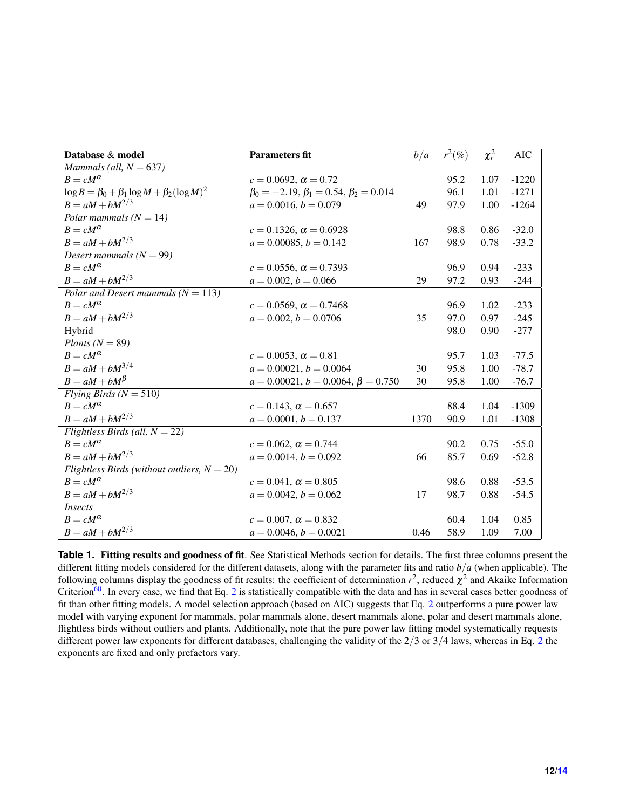<span id="page-11-0"></span>

| Database & model                                         | <b>Parameters fit</b>                              | b/a  | $\overline{r^2}(\%)$ | $\chi_r^2$ | <b>AIC</b> |
|----------------------------------------------------------|----------------------------------------------------|------|----------------------|------------|------------|
| Mammals (all, $N = 637$ )                                |                                                    |      |                      |            |            |
| $B = cM^{\alpha}$                                        | $c = 0.0692$ , $\alpha = 0.72$                     |      | 95.2                 | 1.07       | $-1220$    |
| $\log B = \beta_0 + \beta_1 \log M + \beta_2 (\log M)^2$ | $\beta_0 = -2.19, \beta_1 = 0.54, \beta_2 = 0.014$ |      | 96.1                 | 1.01       | $-1271$    |
| $B = aM + bM^{2/3}$                                      | $a = 0.0016, b = 0.079$                            | 49   | 97.9                 | 1.00       | $-1264$    |
| Polar mammals ( $N = 14$ )                               |                                                    |      |                      |            |            |
| $B = cM^{\alpha}$                                        | $c = 0.1326$ , $\alpha = 0.6928$                   |      | 98.8                 | 0.86       | $-32.0$    |
| $B = aM + bM^{2/3}$                                      | $a = 0.00085, b = 0.142$                           | 167  | 98.9                 | 0.78       | $-33.2$    |
| Desert mammals $(N = 99)$                                |                                                    |      |                      |            |            |
| $B = cM^{\alpha}$                                        | $c = 0.0556$ , $\alpha = 0.7393$                   |      | 96.9                 | 0.94       | $-233$     |
| $B = aM + bM^{2/3}$                                      | $a = 0.002, b = 0.066$                             | 29   | 97.2                 | 0.93       | $-244$     |
| Polar and Desert mammals ( $N = 113$ )                   |                                                    |      |                      |            |            |
| $B = cM^{\alpha}$                                        | $c = 0.0569$ , $\alpha = 0.7468$                   |      | 96.9                 | 1.02       | $-233$     |
| $B = aM + bM^{2/3}$                                      | $a = 0.002, b = 0.0706$                            | 35   | 97.0                 | 0.97       | $-245$     |
| Hybrid                                                   |                                                    |      | 98.0                 | 0.90       | $-277$     |
| Plants ( $N = 89$ )                                      |                                                    |      |                      |            |            |
| $B = cM^{\alpha}$                                        | $c = 0.0053$ , $\alpha = 0.81$                     |      | 95.7                 | 1.03       | $-77.5$    |
| $B = aM + bM^{3/4}$                                      | $a = 0.00021, b = 0.0064$                          | 30   | 95.8                 | 1.00       | $-78.7$    |
| $B = aM + bM^{\beta}$                                    | $a = 0.00021, b = 0.0064, \beta = 0.750$           | 30   | 95.8                 | 1.00       | $-76.7$    |
| Flying Birds ( $N = 510$ )                               |                                                    |      |                      |            |            |
| $B = cM^{\alpha}$                                        | $c = 0.143$ , $\alpha = 0.657$                     |      | 88.4                 | 1.04       | $-1309$    |
| $B = aM + bM^{2/3}$                                      | $a = 0.0001, b = 0.137$                            | 1370 | 90.9                 | 1.01       | $-1308$    |
| Flightless Birds (all, $N = 22$ )                        |                                                    |      |                      |            |            |
| $B = cM^{\alpha}$                                        | $c = 0.062$ , $\alpha = 0.744$                     |      | 90.2                 | 0.75       | $-55.0$    |
| $B = aM + bM^{2/3}$                                      | $a = 0.0014, b = 0.092$                            | 66   | 85.7                 | 0.69       | $-52.8$    |
| Flightless Birds (without outliers, $N = 20$ )           |                                                    |      |                      |            |            |
| $B = cM^{\alpha}$                                        | $c = 0.041, \alpha = 0.805$                        |      | 98.6                 | 0.88       | $-53.5$    |
| $B = aM + bM^{2/3}$                                      | $a = 0.0042, b = 0.062$                            | 17   | 98.7                 | 0.88       | $-54.5$    |
| <i>Insects</i>                                           |                                                    |      |                      |            |            |
| $B = cM^{\alpha}$                                        | $c = 0.007$ , $\alpha = 0.832$                     |      | 60.4                 | 1.04       | 0.85       |
| $B = aM + bM^{2/3}$                                      | $a = 0.0046, b = 0.0021$                           | 0.46 | 58.9                 | 1.09       | 7.00       |

**Table 1.** Fitting results and goodness of fit. See Statistical Methods section for details. The first three columns present the different fitting models considered for the different datasets, along with the parameter fits and ratio *b*/*a* (when applicable). The following columns display the goodness of fit results: the coefficient of determination  $r^2$ , reduced  $\chi^2$  and Akaike Information Criterion<sup>[60](#page-8-23)</sup>. In every case, we find that Eq. [2](#page-2-1) is statistically compatible with the data and has in several cases better goodness of fit than other fitting models. A model selection approach (based on AIC) suggests that Eq. [2](#page-2-1) outperforms a pure power law model with varying exponent for mammals, polar mammals alone, desert mammals alone, polar and desert mammals alone, flightless birds without outliers and plants. Additionally, note that the pure power law fitting model systematically requests different power law exponents for different databases, challenging the validity of the 2/3 or 3/4 laws, whereas in Eq. [2](#page-2-1) the exponents are fixed and only prefactors vary.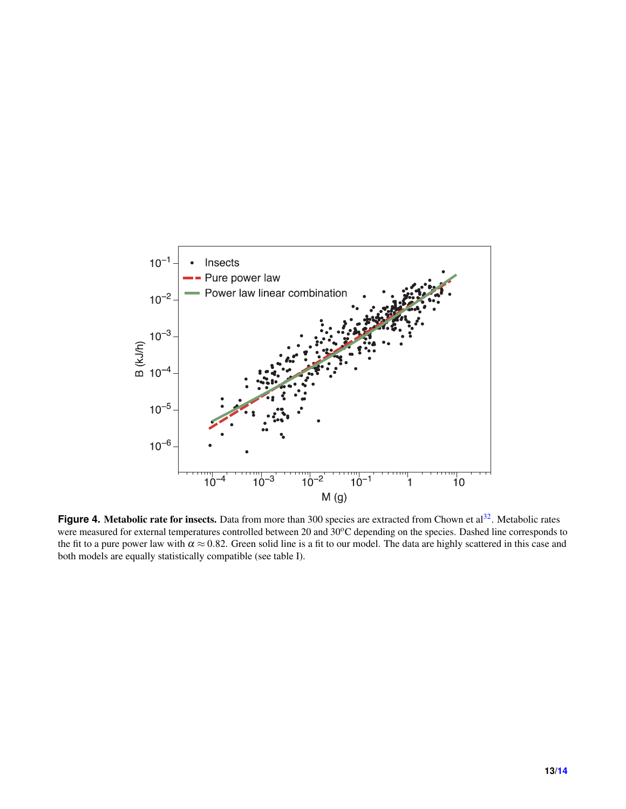<span id="page-12-0"></span>

Figure 4. Metabolic rate for insects. Data from more than 300 species are extracted from Chown et al<sup>[32](#page-7-9)</sup>. Metabolic rates were measured for external temperatures controlled between 20 and 30°C depending on the species. Dashed line corresponds to the fit to a pure power law with  $\alpha \approx 0.82$ . Green solid line is a fit to our model. The data are highly scattered in this case and both models are equally statistically compatible (see table I).